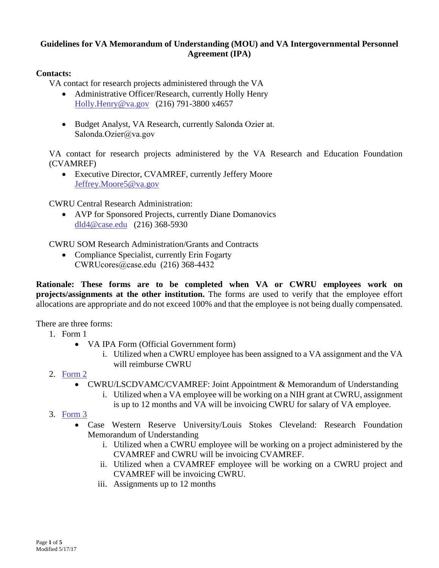## **Guidelines for VA Memorandum of Understanding (MOU) and VA Intergovernmental Personnel Agreement (IPA)**

### **Contacts:**

VA contact for research projects administered through the VA

- Administrative Officer/Research, currently Holly Henry [Holly.Henry@va.gov](mailto:Holly.Henry@va.gov) (216) 791-3800 x4657
- Budget Analyst, VA Research, currently Salonda Ozier at. [Salonda.Ozier@va.gov](mailto:Stephen.kesterson@va.gov)

VA contact for research projects administered by the VA Research and Education Foundation (CVAMREF)

• Executive Director, CVAMREF, currently Jeffery Moore [Jeffrey.Moore5@va.gov](mailto:Jeffrey.Moore5@va.gov)

CWRU Central Research Administration:

• AVP for Sponsored Projects, currently Diane Domanovics [dld4@case.edu](mailto:dld4@case.edu) (216) 368-5930

CWRU SOM Research Administration/Grants and Contracts

• Compliance Specialist, currently Erin Fogarty [CWRUcores@cas](mailto:mpd35@case.edu)e.edu (216) 368-4432

**Rationale: These forms are to be completed when VA or CWRU employees work on projects/assignments at the other institution.** The forms are used to verify that the employee effort allocations are appropriate and do not exceed 100% and that the employee is not being dually compensated.

There are three forms:

- 1. Form 1
	- VA IPA Form (Official Government form)
		- i. Utilized when a CWRU employee has been assigned to a VA assignment and the VA will reimburse CWRU
- 2. [Form 2](http://www.case.edu/research/media/caseedu/research/documents/award-management/VA-Form-2.pdf)
	- CWRU/LSCDVAMC/CVAMREF: Joint Appointment & Memorandum of Understanding
		- i. Utilized when a VA employee will be working on a NIH grant at CWRU, assignment is up to 12 months and VA will be invoicing CWRU for salary of VA employee.
- 3. [Form 3](http://www.case.edu/research/media/caseedu/research/documents/award-management/VA-Form-3.pdf)
	- Case Western Reserve University/Louis Stokes Cleveland: Research Foundation Memorandum of Understanding
		- i. Utilized when a CWRU employee will be working on a project administered by the CVAMREF and CWRU will be invoicing CVAMREF.
		- ii. Utilized when a CVAMREF employee will be working on a CWRU project and CVAMREF will be invoicing CWRU.
		- iii. Assignments up to 12 months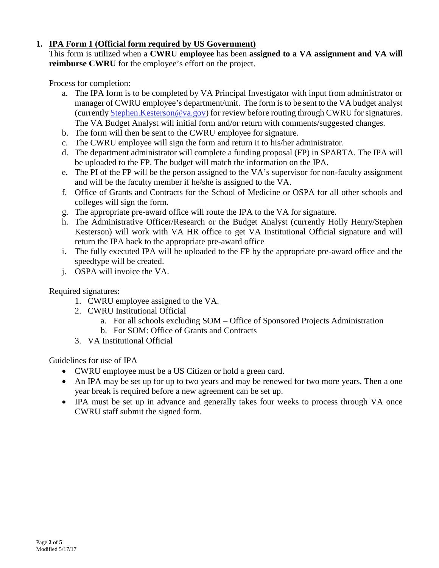# **1. IPA Form 1 (Official form required by US Government)**

This form is utilized when a **CWRU employee** has been **assigned to a VA assignment and VA will reimburse CWRU** for the employee's effort on the project.

Process for completion:

- a. The IPA form is to be completed by VA Principal Investigator with input from administrator or manager of CWRU employee's department/unit. The form is to be sent to the VA budget analyst (currently [Stephen.Kesterson@va.gov\)](mailto:Stephen.Kesterson@va.gov) for review before routing through CWRU for signatures. The VA Budget Analyst will initial form and/or return with comments/suggested changes.
- b. The form will then be sent to the CWRU employee for signature.
- c. The CWRU employee will sign the form and return it to his/her administrator.
- d. The department administrator will complete a funding proposal (FP) in SPARTA. The IPA will be uploaded to the FP. The budget will match the information on the IPA.
- e. The PI of the FP will be the person assigned to the VA's supervisor for non-faculty assignment and will be the faculty member if he/she is assigned to the VA.
- f. Office of Grants and Contracts for the School of Medicine or OSPA for all other schools and colleges will sign the form.
- g. The appropriate pre-award office will route the IPA to the VA for signature.
- h. The Administrative Officer/Research or the Budget Analyst (currently Holly Henry/Stephen Kesterson) will work with VA HR office to get VA Institutional Official signature and will return the IPA back to the appropriate pre-award office
- i. The fully executed IPA will be uploaded to the FP by the appropriate pre-award office and the speedtype will be created.
- j. OSPA will invoice the VA.

Required signatures:

- 1. CWRU employee assigned to the VA.
- 2. CWRU Institutional Official
	- a. For all schools excluding SOM Office of Sponsored Projects Administration
	- b. For SOM: Office of Grants and Contracts
- 3. VA Institutional Official

Guidelines for use of IPA

- CWRU employee must be a US Citizen or hold a green card.
- An IPA may be set up for up to two years and may be renewed for two more years. Then a one year break is required before a new agreement can be set up.
- IPA must be set up in advance and generally takes four weeks to process through VA once CWRU staff submit the signed form.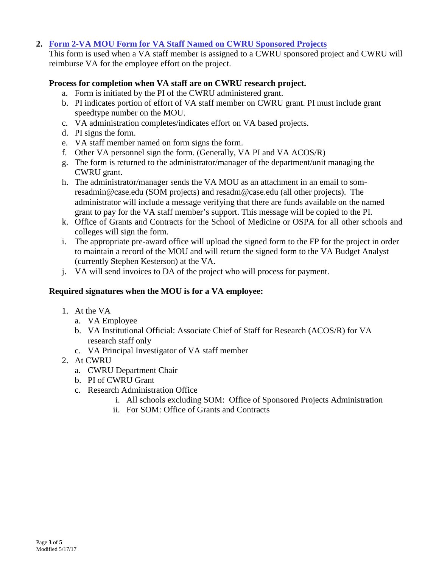### **2. Form 2-VA MOU Form [for VA Staff Named on CWRU Sponsored Projects](http://www.case.edu/research/media/caseedu/research/documents/award-management/VA-Form-2.pdf)**

This form is used when a VA staff member is assigned to a CWRU sponsored project and CWRU will reimburse VA for the employee effort on the project.

### **Process for completion when VA staff are on CWRU research project.**

- a. Form is initiated by the PI of the CWRU administered grant.
- b. PI indicates portion of effort of VA staff member on CWRU grant. PI must include grant speedtype number on the MOU.
- c. VA administration completes/indicates effort on VA based projects.
- d. PI signs the form.
- e. VA staff member named on form signs the form.
- f. Other VA personnel sign the form. (Generally, VA PI and VA ACOS/R)
- g. The form is returned to the administrator/manager of the department/unit managing the CWRU grant.
- h. The administrator/manager sends the VA MOU as an attachment in an email to somresadmin@case.edu (SOM projects) and resadm@case.edu (all other projects). The administrator will include a message verifying that there are funds available on the named grant to pay for the VA staff member's support. This message will be copied to the PI.
- k. Office of Grants and Contracts for the School of Medicine or OSPA for all other schools and colleges will sign the form.
- i. The appropriate pre-award office will upload the signed form to the FP for the project in order to maintain a record of the MOU and will return the signed form to the VA Budget Analyst (currently Stephen Kesterson) at the VA.
- j. VA will send invoices to DA of the project who will process for payment.

### **Required signatures when the MOU is for a VA employee:**

- 1. At the VA
	- a. VA Employee
	- b. VA Institutional Official: Associate Chief of Staff for Research (ACOS/R) for VA research staff only
	- c. VA Principal Investigator of VA staff member
- 2. At CWRU
	- a. CWRU Department Chair
	- b. PI of CWRU Grant
	- c. Research Administration Office
		- i. All schools excluding SOM: Office of Sponsored Projects Administration
		- ii. For SOM: Office of Grants and Contracts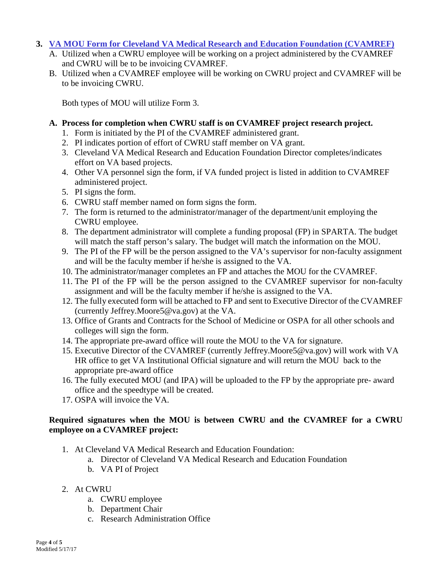#### **3. [VA MOU Form for Cleveland VA Medical Research](http://www.case.edu/research/media/caseedu/research/documents/award-management/VA-Form-3.pdf) and Education Foundation (CVAMREF)**

- A. Utilized when a CWRU employee will be working on a project administered by the CVAMREF and CWRU will be to be invoicing CVAMREF.
- B. Utilized when a CVAMREF employee will be working on CWRU project and CVAMREF will be to be invoicing CWRU.

Both types of MOU will utilize Form 3.

- **A. Process for completion when CWRU staff is on CVAMREF project research project.**
	- 1. Form is initiated by the PI of the CVAMREF administered grant.
	- 2. PI indicates portion of effort of CWRU staff member on VA grant.
	- 3. Cleveland VA Medical Research and Education Foundation Director completes/indicates effort on VA based projects.
	- 4. Other VA personnel sign the form, if VA funded project is listed in addition to CVAMREF administered project.
	- 5. PI signs the form.
	- 6. CWRU staff member named on form signs the form.
	- 7. The form is returned to the administrator/manager of the department/unit employing the CWRU employee.
	- 8. The department administrator will complete a funding proposal (FP) in SPARTA. The budget will match the staff person's salary. The budget will match the information on the MOU.
	- 9. The PI of the FP will be the person assigned to the VA's supervisor for non-faculty assignment and will be the faculty member if he/she is assigned to the VA.
	- 10. The administrator/manager completes an FP and attaches the MOU for the CVAMREF.
	- 11. The PI of the FP will be the person assigned to the CVAMREF supervisor for non-faculty assignment and will be the faculty member if he/she is assigned to the VA.
	- 12. The fully executed form will be attached to FP and sent to Executive Director of the CVAMREF (currently Jeffrey.Moore5@va.gov) at the VA.
	- 13. Office of Grants and Contracts for the School of Medicine or OSPA for all other schools and colleges will sign the form.
	- 14. The appropriate pre-award office will route the MOU to the VA for signature.
	- 15. Executive Director of the CVAMREF (currently Jeffrey.Moore5@va.gov) will work with VA HR office to get VA Institutional Official signature and will return the MOU back to the appropriate pre-award office
	- 16. The fully executed MOU (and IPA) will be uploaded to the FP by the appropriate pre- award office and the speedtype will be created.
	- 17. OSPA will invoice the VA.

### **Required signatures when the MOU is between CWRU and the CVAMREF for a CWRU employee on a CVAMREF project:**

- 1. At Cleveland VA Medical Research and Education Foundation:
	- a. Director of Cleveland VA Medical Research and Education Foundation
	- b. VA PI of Project
- 2. At CWRU
	- a. CWRU employee
	- b. Department Chair
	- c. Research Administration Office